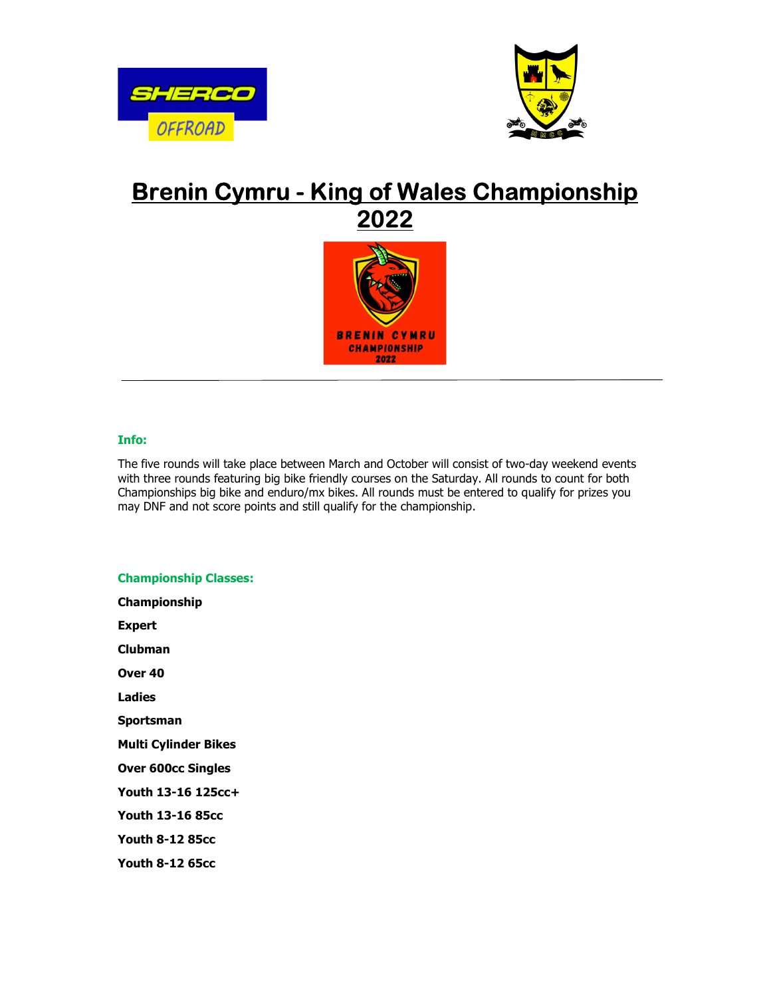



# Brenin Cymru - King of Wales Championship 2022



### Info:

The five rounds will take place between March and October will consist of two-day weekend events with three rounds featuring big bike friendly courses on the Saturday. All rounds to count for both Championships big bike and enduro/mx bikes. All rounds must be entered to qualify for prizes you may DNF and not score points and still qualify for the championship.

## Championship Classes: Championship Expert Clubman Over 40 Ladies Sportsman Multi Cylinder Bikes Over 600cc Singles Youth 13-16 125cc+ Youth 13-16 85cc Youth 8-12 85cc Youth 8-12 65cc